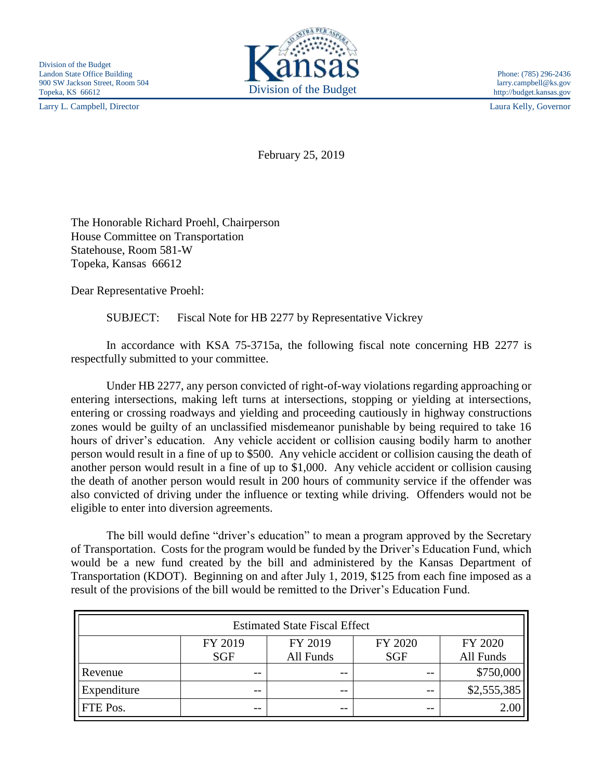Larry L. Campbell, Director Laura Kelly, Governor



http://budget.kansas.gov

February 25, 2019

The Honorable Richard Proehl, Chairperson House Committee on Transportation Statehouse, Room 581-W Topeka, Kansas 66612

Dear Representative Proehl:

SUBJECT: Fiscal Note for HB 2277 by Representative Vickrey

In accordance with KSA 75-3715a, the following fiscal note concerning HB 2277 is respectfully submitted to your committee.

Under HB 2277, any person convicted of right-of-way violations regarding approaching or entering intersections, making left turns at intersections, stopping or yielding at intersections, entering or crossing roadways and yielding and proceeding cautiously in highway constructions zones would be guilty of an unclassified misdemeanor punishable by being required to take 16 hours of driver's education. Any vehicle accident or collision causing bodily harm to another person would result in a fine of up to \$500. Any vehicle accident or collision causing the death of another person would result in a fine of up to \$1,000. Any vehicle accident or collision causing the death of another person would result in 200 hours of community service if the offender was also convicted of driving under the influence or texting while driving. Offenders would not be eligible to enter into diversion agreements.

The bill would define "driver's education" to mean a program approved by the Secretary of Transportation. Costs for the program would be funded by the Driver's Education Fund, which would be a new fund created by the bill and administered by the Kansas Department of Transportation (KDOT). Beginning on and after July 1, 2019, \$125 from each fine imposed as a result of the provisions of the bill would be remitted to the Driver's Education Fund.

| <b>Estimated State Fiscal Effect</b> |                       |                      |                       |                      |
|--------------------------------------|-----------------------|----------------------|-----------------------|----------------------|
|                                      | FY 2019<br><b>SGF</b> | FY 2019<br>All Funds | FY 2020<br><b>SGF</b> | FY 2020<br>All Funds |
| Revenue                              | --                    | $- -$                |                       | \$750,000            |
| Expenditure                          | $- -$                 | $ -$                 | $ -$                  | \$2,555,385          |
| FTE Pos.                             | --                    | $- -$                | $- -$                 | 2.00                 |